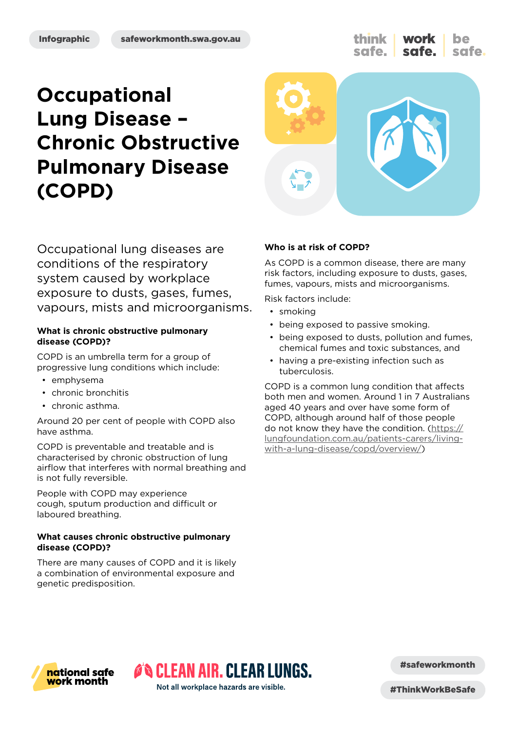think work be safe. safe.

# **Occupational Lung Disease – Chronic Obstructive Pulmonary Disease (COPD)**



Occupational lung diseases are conditions of the respiratory system caused by workplace exposure to dusts, gases, fumes, vapours, mists and microorganisms.

### **What is chronic obstructive pulmonary disease (COPD)?**

COPD is an umbrella term for a group of progressive lung conditions which include:

- emphysema
- chronic bronchitis
- chronic asthma.

Around 20 per cent of people with COPD also have asthma.

COPD is preventable and treatable and is characterised by chronic obstruction of lung airflow that interferes with normal breathing and is not fully reversible.

People with COPD may experience cough, sputum production and difficult or laboured breathing.

### **What causes chronic obstructive pulmonary disease (COPD)?**

There are many causes of COPD and it is likely a combination of environmental exposure and genetic predisposition.

### **Who is at risk of COPD?**

As COPD is a common disease, there are many risk factors, including exposure to dusts, gases, fumes, vapours, mists and microorganisms.

Risk factors include:

- smoking
- being exposed to passive smoking.
- being exposed to dusts, pollution and fumes, chemical fumes and toxic substances, and
- having a pre-existing infection such as tuberculosis.

COPD is a common lung condition that affects both men and women. Around 1 in 7 Australians aged 40 years and over have some form of COPD, although around half of those people do not know they have the condition. ([https://](https://lungfoundation.com.au/patients-carers/living-with-a-lung-disease/copd/overview/) [lungfoundation.com.au/patients-carers/living](https://lungfoundation.com.au/patients-carers/living-with-a-lung-disease/copd/overview/)[with-a-lung-disease/copd/overview/](https://lungfoundation.com.au/patients-carers/living-with-a-lung-disease/copd/overview/))



#safeworkmonth

**O'S CLEAN AIR. CLEAR LUNGS.** Not all workplace hazards are visible.

#ThinkWorkBeSafe